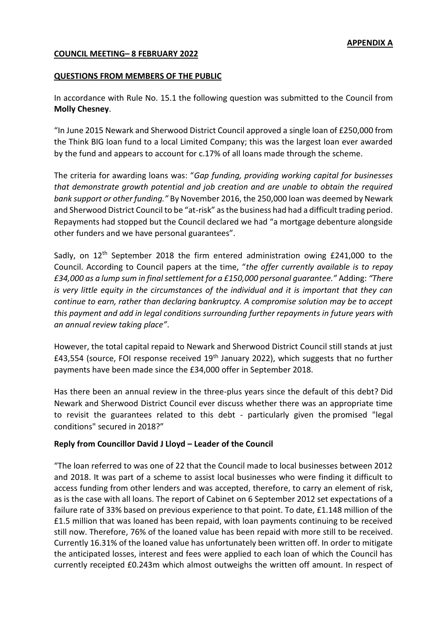## **COUNCIL MEETING– 8 FEBRUARY 2022**

## **QUESTIONS FROM MEMBERS OF THE PUBLIC**

In accordance with Rule No. 15.1 the following question was submitted to the Council from **Molly Chesney**.

"In June 2015 Newark and Sherwood District Council approved a single loan of £250,000 from the Think BIG loan fund to a local Limited Company; this was the largest loan ever awarded by the fund and appears to account for c.17% of all loans made through the scheme.

The criteria for awarding loans was: "*Gap funding, providing working capital for businesses that demonstrate growth potential and job creation and are unable to obtain the required bank support or other funding."* By November 2016, the 250,000 loan was deemed by Newark and Sherwood District Council to be "at-risk" as the business had had a difficult trading period. Repayments had stopped but the Council declared we had "a mortgage debenture alongside other funders and we have personal guarantees".

Sadly, on  $12<sup>th</sup>$  September 2018 the firm entered administration owing £241,000 to the Council. According to Council papers at the time, "*the offer currently available is to repay £34,000 as a lump sum in final settlement for a £150,000 personal guarantee."* Adding: *"There is very little equity in the circumstances of the individual and it is important that they can continue to earn, rather than declaring bankruptcy. A compromise solution may be to accept this payment and add in legal conditions surrounding further repayments in future years with an annual review taking place"*.

However, the total capital repaid to Newark and Sherwood District Council still stands at just £43,554 (source, FOI response received  $19<sup>th</sup>$  January 2022), which suggests that no further payments have been made since the £34,000 offer in September 2018.

Has there been an annual review in the three-plus years since the default of this debt? Did Newark and Sherwood District Council ever discuss whether there was an appropriate time to revisit the guarantees related to this debt - particularly given the promised "legal conditions" secured in 2018?"

## **Reply from Councillor David J Lloyd – Leader of the Council**

"The loan referred to was one of 22 that the Council made to local businesses between 2012 and 2018. It was part of a scheme to assist local businesses who were finding it difficult to access funding from other lenders and was accepted, therefore, to carry an element of risk, as is the case with all loans. The report of Cabinet on 6 September 2012 set expectations of a failure rate of 33% based on previous experience to that point. To date, £1.148 million of the £1.5 million that was loaned has been repaid, with loan payments continuing to be received still now. Therefore, 76% of the loaned value has been repaid with more still to be received. Currently 16.31% of the loaned value has unfortunately been written off. In order to mitigate the anticipated losses, interest and fees were applied to each loan of which the Council has currently receipted £0.243m which almost outweighs the written off amount. In respect of